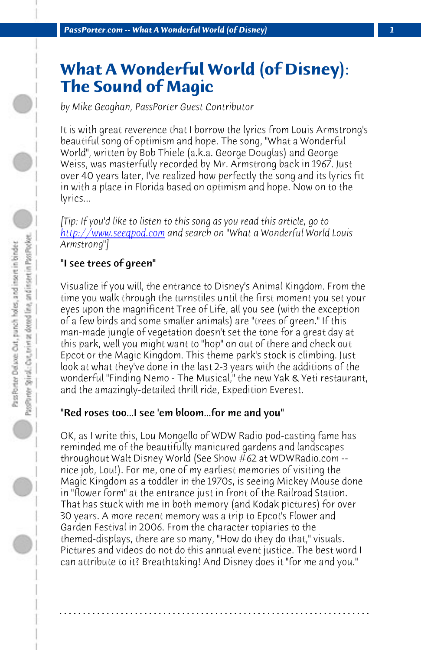*PassPorter.com -- What A Wonderful World (of Disney) 1*

# **What A Wonderful World (of Disney): The Sound of Magic**

*by Mike Geoghan, PassPorter Guest Contributor*

It is with great reverence that I borrow the lyrics from Louis Armstrong's beautiful song of optimism and hope. The song, "What a Wonderful World", written by Bob Thiele (a.k.a. George Douglas) and George Weiss, was masterfully recorded by Mr. Armstrong back in 1967. Just over 40 years later, I've realized how perfectly the song and its lyrics fit in with a place in Florida based on optimism and hope. Now on to the lyrics...

*[Tip: If you'd like to listen to this song as you read this article, go to http://www.seeqpod.com and search on "What a Wonderful World Louis Armstrong"]* 

## "I see trees of green"

Visualize if you will, the entrance to Disney's Animal Kingdom. From the time you walk through the turnstiles until the first moment you set your eyes upon the magnificent Tree of Life, all you see (with the exception of a few birds and some smaller animals) are "trees of green." If this man-made jungle of vegetation doesn't set the tone for a great day at this park, well you might want to "hop" on out of there and check out Epcot or the Magic Kingdom. This theme park's stock is climbing. Just look at what they've done in the last 2-3 years with the additions of the wonderful "Finding Nemo - The Musical," the new Yak & Yeti restaurant, and the amazingly-detailed thrill ride, Expedition Everest.

#### "Red roses too...I see 'em bloom...for me and you"

OK, as I write this, Lou Mongello of WDW Radio pod-casting fame has reminded me of the beautifully manicured gardens and landscapes throughout Walt Disney World (See Show #62 at WDWRadio.com - nice job, Lou!). For me, one of my earliest memories of visiting the Magic Kingdom as a toddler in the 1970s, is seeing Mickey Mouse done in "flower form" at the entrance just in front of the Railroad Station. That has stuck with me in both memory (and Kodak pictures) for over 30 years. A more recent memory was a trip to Epcot's Flower and Garden Festival in 2006. From the character topiaries to the themed-displays, there are so many, "How do they do that," visuals. Pictures and videos do not do this annual event justice. The best word I can attribute to it? Breathtaking! And Disney does it "for me and you."

**. . . . . . . . . . . . . . . . . . . . . . . . . . . . . . . . . . . . . . . . . . . . . . . . . . . . . . . . . . . . . . . . . .**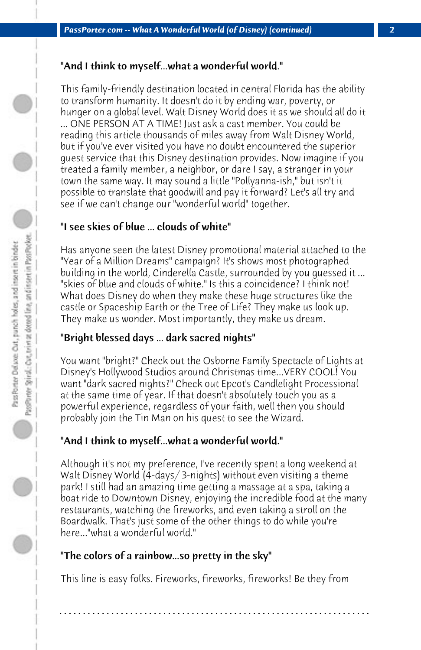#### "And I think to myself...what a wonderful world."

This family-friendly destination located in central Florida has the ability to transform humanity. It doesn't do it by ending war, poverty, or hunger on a global level. Walt Disney World does it as we should all do it ... ONE PERSON AT A TIME! Just ask a cast member. You could be reading this article thousands of miles away from Walt Disney World, but if you've ever visited you have no doubt encountered the superior guest service that this Disney destination provides. Now imagine if you treated a family member, a neighbor, or dare I say, a stranger in your town the same way. It may sound a little "Pollyanna-ish," but isn't it possible to translate that goodwill and pay it forward? Let's all try and see if we can't change our "wonderful world" together.

## "I see skies of blue ... clouds of white"

Has anyone seen the latest Disney promotional material attached to the "Year of a Million Dreams" campaign? It's shows most photographed building in the world, Cinderella Castle, surrounded by you guessed it ... "skies of blue and clouds of white." Is this a coincidence? I think not! What does Disney do when they make these huge structures like the castle or Spaceship Earth or the Tree of Life? They make us look up. They make us wonder. Most importantly, they make us dream.

# "Bright blessed days ... dark sacred nights"

You want "bright?" Check out the Osborne Family Spectacle of Lights at Disney's Hollywood Studios around Christmas time...VERY COOL! You want "dark sacred nights?" Check out Epcot's Candlelight Processional at the same time of year. If that doesn't absolutely touch you as a powerful experience, regardless of your faith, well then you should probably join the Tin Man on his quest to see the Wizard.

# "And I think to myself...what a wonderful world."

Although it's not my preference, I've recently spent a long weekend at Walt Disney World (4-days/ 3-nights) without even visiting a theme park! I still had an amazing time getting a massage at a spa, taking a boat ride to Downtown Disney, enjoying the incredible food at the many restaurants, watching the fireworks, and even taking a stroll on the Boardwalk. That's just some of the other things to do while you're here..."what a wonderful world."

# "The colors of a rainbow...so pretty in the sky"

This line is easy folks. Fireworks, fireworks, fireworks! Be they from

**. . . . . . . . . . . . . . . . . . . . . . . . . . . . . . . . . . . . . . . . . . . . . . . . . . . . . . . . . . . . . . . . . .**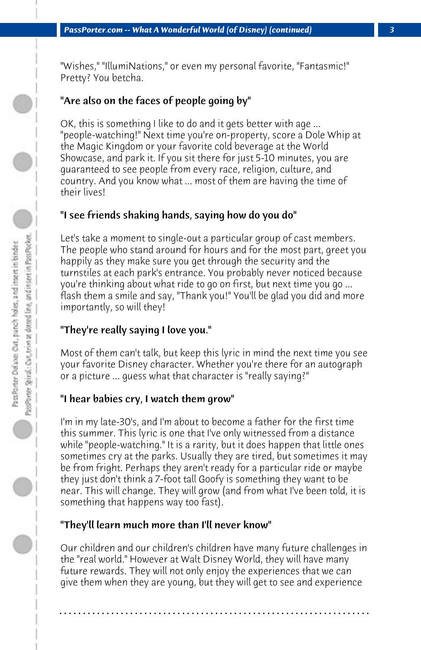"Wishes," "IllumiNations," or even my personal favorite, "Fantasmic!" Pretty? You betcha.

## "Are also on the faces of people going by"

OK, this is something I like to do and it gets better with age ... "people-watching!" Next time you're on-property, score a Dole Whip at the Magic Kingdom or your favorite cold beverage at the World Showcase, and park it. If you sit there for just 5-10 minutes, you are guaranteed to see people from every race, religion, culture, and country. And you know what ... most of them are having the time of their lives!

#### "I see friends shaking hands, saying how do you do"

Let's take a moment to single-out a particular group of cast members. The people who stand around for hours and for the most part, greet you happily as they make sure you get through the security and the turnstiles at each park's entrance. You probably never noticed because you're thinking about what ride to go on first, but next time you go ... flash them a smile and say, "Thank you!" You'll be glad you did and more importantly, so will they!

## "They're really saying I love you."

Most of them can't talk, but keep this lyric in mind the next time you see your favorite Disney character. Whether you're there for an autograph or a picture ... guess what that character is "really saying?"

#### "I hear babies cry, I watch them grow"

I'm in my late-30's, and I'm about to become a father for the first time this summer. This lyric is one that I've only witnessed from a distance while "people-watching." It is a rarity, but it does happen that little ones sometimes cry at the parks. Usually they are tired, but sometimes it may be from fright. Perhaps they aren't ready for a particular ride or maybe they just don't think a 7-foot tall Goofy is something they want to be near. This will change. They will grow (and from what I've been told, it is something that happens way too fast).

## "They'll learn much more than I'll never know"

Our children and our children's children have many future challenges in the "real world." However at Walt Disney World, they will have many future rewards. They will not only enjoy the experiences that we can give them when they are young, but they will get to see and experience

**. . . . . . . . . . . . . . . . . . . . . . . . . . . . . . . . . . . . . . . . . . . . . . . . . . . . . . . . . . . . . . . . . .**